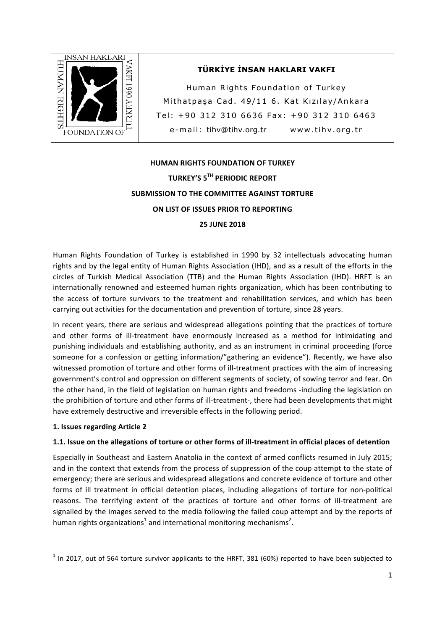

## **TÜRKİYE İNSAN HAKLARI VAKFI**

Human Rights Foundation of Turkey Mithatpaşa Cad. 49/11 6. Kat Kızılay/Ankara Tel: +90 312 310 6636 Fax: +90 312 310 6463 e-mail: tihv@tihv.org.tr www.tihv.org.tr

# **HUMAN RIGHTS FOUNDATION OF TURKEY TURKEY'S 5TH PERIODIC REPORT SUBMISSION TO THE COMMITTEE AGAINST TORTURE ON LIST OF ISSUES PRIOR TO REPORTING 25 JUNE 2018**

Human Rights Foundation of Turkey is established in 1990 by 32 intellectuals advocating human rights and by the legal entity of Human Rights Association (IHD), and as a result of the efforts in the circles of Turkish Medical Association (TTB) and the Human Rights Association (IHD). HRFT is an internationally renowned and esteemed human rights organization, which has been contributing to the access of torture survivors to the treatment and rehabilitation services, and which has been carrying out activities for the documentation and prevention of torture, since 28 years.

In recent years, there are serious and widespread allegations pointing that the practices of torture and other forms of ill-treatment have enormously increased as a method for intimidating and punishing individuals and establishing authority, and as an instrument in criminal proceeding (force someone for a confession or getting information/"gathering an evidence"). Recently, we have also witnessed promotion of torture and other forms of ill-treatment practices with the aim of increasing government's control and oppression on different segments of society, of sowing terror and fear. On the other hand, in the field of legislation on human rights and freedoms -including the legislation on the prohibition of torture and other forms of ill-treatment-, there had been developments that might have extremely destructive and irreversible effects in the following period.

## **1. Issues regarding Article 2**

<u> 1989 - Johann Stein, fransk politik (d. 1989)</u>

#### **1.1.** Issue on the allegations of torture or other forms of ill-treatment in official places of detention

Especially in Southeast and Eastern Anatolia in the context of armed conflicts resumed in July 2015; and in the context that extends from the process of suppression of the coup attempt to the state of emergency; there are serious and widespread allegations and concrete evidence of torture and other forms of ill treatment in official detention places, including allegations of torture for non-political reasons. The terrifying extent of the practices of torture and other forms of ill-treatment are signalled by the images served to the media following the failed coup attempt and by the reports of human rights organizations<sup>1</sup> and international monitoring mechanisms<sup>2</sup>.

 $^1$  In 2017, out of 564 torture survivor applicants to the HRFT, 381 (60%) reported to have been subjected to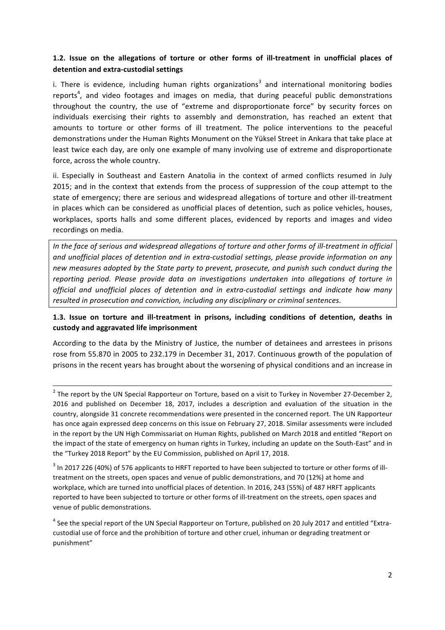## **1.2.** Issue on the allegations of torture or other forms of ill-treatment in unofficial places of **detention and extra-custodial settings**

i. There is evidence, including human rights organizations<sup>3</sup> and international monitoring bodies reports<sup>4</sup>, and video footages and images on media, that during peaceful public demonstrations throughout the country, the use of "extreme and disproportionate force" by security forces on individuals exercising their rights to assembly and demonstration, has reached an extent that amounts to torture or other forms of ill treatment. The police interventions to the peaceful demonstrations under the Human Rights Monument on the Yüksel Street in Ankara that take place at least twice each day, are only one example of many involving use of extreme and disproportionate force, across the whole country.

ii. Especially in Southeast and Eastern Anatolia in the context of armed conflicts resumed in July 2015; and in the context that extends from the process of suppression of the coup attempt to the state of emergency; there are serious and widespread allegations of torture and other ill-treatment in places which can be considered as unofficial places of detention, such as police vehicles, houses, workplaces, sports halls and some different places, evidenced by reports and images and video recordings on media.

*In* the face of serious and widespread allegations of torture and other forms of ill-treatment in official and unofficial places of detention and in extra-custodial settings, please provide information on any new measures adopted by the State party to prevent, prosecute, and punish such conduct during the *reporting period. Please provide data on investigations undertaken into allegations of torture in official and unofficial places of detention and in extra-custodial settings and indicate how many resulted in prosecution and conviction, including any disciplinary or criminal sentences.* 

## 1.3. Issue on torture and ill-treatment in prisons, including conditions of detention, deaths in **custody and aggravated life imprisonment**

According to the data by the Ministry of Justice, the number of detainees and arrestees in prisons rose from 55.870 in 2005 to 232.179 in December 31, 2017. Continuous growth of the population of prisons in the recent years has brought about the worsening of physical conditions and an increase in

<u> 1989 - Andrea Santa Andrea Santa Andrea Andrea Santa Andrea Andrea Andrea Andrea Andrea Andrea Andrea Andrea </u>

 $2$  The report by the UN Special Rapporteur on Torture, based on a visit to Turkey in November 27-December 2, 2016 and published on December 18, 2017, includes a description and evaluation of the situation in the country, alongside 31 concrete recommendations were presented in the concerned report. The UN Rapporteur has once again expressed deep concerns on this issue on February 27, 2018. Similar assessments were included in the report by the UN High Commissariat on Human Rights, published on March 2018 and entitled "Report on the impact of the state of emergency on human rights in Turkey, including an update on the South-East" and in the "Turkey 2018 Report" by the EU Commission, published on April 17, 2018.

 $3$  In 2017 226 (40%) of 576 applicants to HRFT reported to have been subjected to torture or other forms of illtreatment on the streets, open spaces and venue of public demonstrations, and 70 (12%) at home and workplace, which are turned into unofficial places of detention. In 2016, 243 (55%) of 487 HRFT applicants reported to have been subjected to torture or other forms of ill-treatment on the streets, open spaces and venue of public demonstrations.

 $4$  See the special report of the UN Special Rapporteur on Torture, published on 20 July 2017 and entitled "Extracustodial use of force and the prohibition of torture and other cruel, inhuman or degrading treatment or punishment"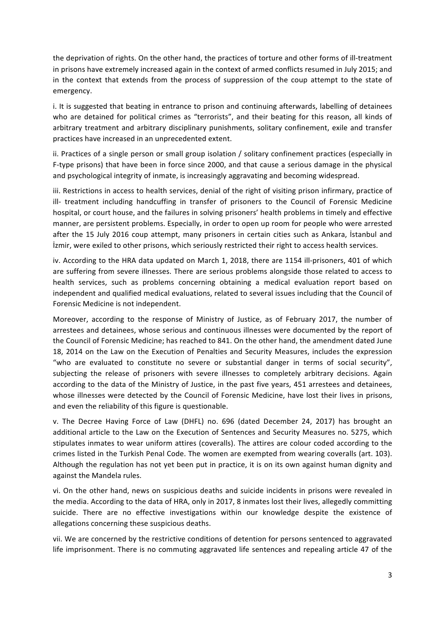the deprivation of rights. On the other hand, the practices of torture and other forms of ill-treatment in prisons have extremely increased again in the context of armed conflicts resumed in July 2015; and in the context that extends from the process of suppression of the coup attempt to the state of emergency.

i. It is suggested that beating in entrance to prison and continuing afterwards, labelling of detainees who are detained for political crimes as "terrorists", and their beating for this reason, all kinds of arbitrary treatment and arbitrary disciplinary punishments, solitary confinement, exile and transfer practices have increased in an unprecedented extent.

ii. Practices of a single person or small group isolation  $/$  solitary confinement practices (especially in F-type prisons) that have been in force since 2000, and that cause a serious damage in the physical and psychological integrity of inmate, is increasingly aggravating and becoming widespread.

iii. Restrictions in access to health services, denial of the right of visiting prison infirmary, practice of ill- treatment including handcuffing in transfer of prisoners to the Council of Forensic Medicine hospital, or court house, and the failures in solving prisoners' health problems in timely and effective manner, are persistent problems. Especially, in order to open up room for people who were arrested after the 15 July 2016 coup attempt, many prisoners in certain cities such as Ankara, Istanbul and Izmir, were exiled to other prisons, which seriously restricted their right to access health services.

iv. According to the HRA data updated on March 1, 2018, there are 1154 ill-prisoners, 401 of which are suffering from severe illnesses. There are serious problems alongside those related to access to health services, such as problems concerning obtaining a medical evaluation report based on independent and qualified medical evaluations, related to several issues including that the Council of Forensic Medicine is not independent.

Moreover, according to the response of Ministry of Justice, as of February 2017, the number of arrestees and detainees, whose serious and continuous illnesses were documented by the report of the Council of Forensic Medicine: has reached to 841. On the other hand, the amendment dated June 18, 2014 on the Law on the Execution of Penalties and Security Measures, includes the expression "who are evaluated to constitute no severe or substantial danger in terms of social security", subjecting the release of prisoners with severe illnesses to completely arbitrary decisions. Again according to the data of the Ministry of Justice, in the past five years, 451 arrestees and detainees, whose illnesses were detected by the Council of Forensic Medicine, have lost their lives in prisons, and even the reliability of this figure is questionable.

v. The Decree Having Force of Law (DHFL) no. 696 (dated December 24, 2017) has brought an additional article to the Law on the Execution of Sentences and Security Measures no. 5275, which stipulates inmates to wear uniform attires (coveralls). The attires are colour coded according to the crimes listed in the Turkish Penal Code. The women are exempted from wearing coveralls (art. 103). Although the regulation has not yet been put in practice, it is on its own against human dignity and against the Mandela rules.

vi. On the other hand, news on suspicious deaths and suicide incidents in prisons were revealed in the media. According to the data of HRA, only in 2017, 8 inmates lost their lives, allegedly committing suicide. There are no effective investigations within our knowledge despite the existence of allegations concerning these suspicious deaths.

vii. We are concerned by the restrictive conditions of detention for persons sentenced to aggravated life imprisonment. There is no commuting aggravated life sentences and repealing article 47 of the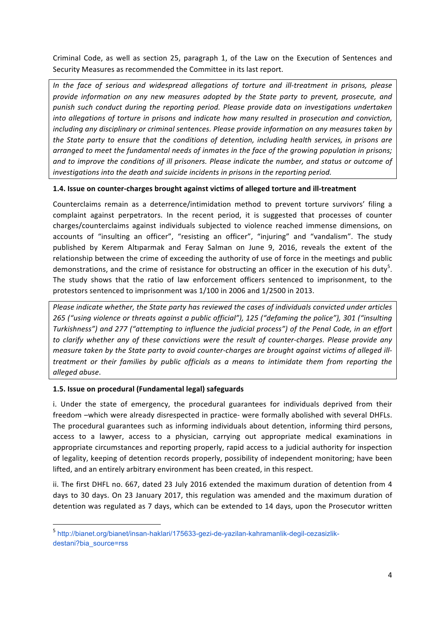Criminal Code, as well as section 25, paragraph 1, of the Law on the Execution of Sentences and Security Measures as recommended the Committee in its last report.

*In* the face of serious and widespread allegations of torture and ill-treatment in prisons, please provide information on any new measures adopted by the State party to prevent, prosecute, and *punish such conduct during the reporting period. Please provide data on investigations undertaken into allegations of torture in prisons and indicate how many resulted in prosecution and conviction, including any disciplinary or criminal sentences. Please provide information on any measures taken by the State party to ensure that the conditions of detention, including health services, in prisons are arranged to meet the fundamental needs of inmates in the face of the growing population in prisons;* and to improve the conditions of ill prisoners. Please indicate the number, and status or outcome of *investigations into the death and suicide incidents in prisons in the reporting period.* 

#### **1.4.** Issue on counter-charges brought against victims of alleged torture and ill-treatment

Counterclaims remain as a deterrence/intimidation method to prevent torture survivors' filing a complaint against perpetrators. In the recent period, it is suggested that processes of counter charges/counterclaims against individuals subjected to violence reached immense dimensions, on accounts of "insulting an officer", "resisting an officer", "injuring" and "vandalism". The study published by Kerem Altıparmak and Feray Salman on June 9, 2016, reveals the extent of the relationship between the crime of exceeding the authority of use of force in the meetings and public demonstrations, and the crime of resistance for obstructing an officer in the execution of his duty<sup>5</sup>. The study shows that the ratio of law enforcement officers sentenced to imprisonment, to the protestors sentenced to imprisonment was 1/100 in 2006 and 1/2500 in 2013.

*Please indicate whether, the State party has reviewed the cases of individuals convicted under articles* 265 ("using violence or threats against a public official"), 125 ("defaming the police"), 301 ("insulting *Turkishness"*) and 277 ("attempting to influence the judicial process") of the Penal Code, in an effort to clarify whether any of these convictions were the result of counter-charges. Please provide any *measure taken by the State party to avoid counter-charges are brought against victims of alleged illtreatment* or their families by public officials as a means to intimidate them from reporting the *alleged abuse*.

## **1.5. Issue on procedural (Fundamental legal) safeguards**

<u> 1989 - Johann Stein, fransk politik (d. 1989)</u>

i. Under the state of emergency, the procedural guarantees for individuals deprived from their freedom –which were already disrespected in practice- were formally abolished with several DHFLs. The procedural guarantees such as informing individuals about detention, informing third persons, access to a lawyer, access to a physician, carrying out appropriate medical examinations in appropriate circumstances and reporting properly, rapid access to a judicial authority for inspection of legality, keeping of detention records properly, possibility of independent monitoring; have been lifted, and an entirely arbitrary environment has been created, in this respect.

ii. The first DHFL no. 667, dated 23 July 2016 extended the maximum duration of detention from 4 days to 30 days. On 23 January 2017, this regulation was amended and the maximum duration of detention was regulated as 7 days, which can be extended to 14 days, upon the Prosecutor written

<sup>5</sup> http://bianet.org/bianet/insan-haklari/175633-gezi-de-yazilan-kahramanlik-degil-cezasizlikdestani?bia\_source=rss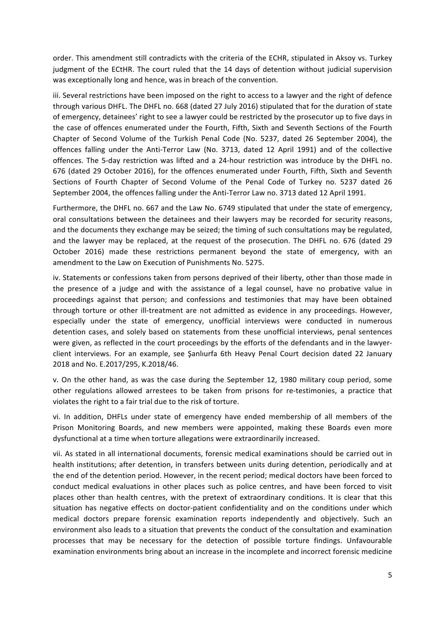order. This amendment still contradicts with the criteria of the ECHR, stipulated in Aksoy vs. Turkey judgment of the ECtHR. The court ruled that the 14 days of detention without judicial supervision was exceptionally long and hence, was in breach of the convention.

iii. Several restrictions have been imposed on the right to access to a lawyer and the right of defence through various DHFL. The DHFL no. 668 (dated 27 July 2016) stipulated that for the duration of state of emergency, detainees' right to see a lawyer could be restricted by the prosecutor up to five days in the case of offences enumerated under the Fourth, Fifth, Sixth and Seventh Sections of the Fourth Chapter of Second Volume of the Turkish Penal Code (No. 5237, dated 26 September 2004), the offences falling under the Anti-Terror Law (No. 3713, dated 12 April 1991) and of the collective offences. The 5-day restriction was lifted and a 24-hour restriction was introduce by the DHFL no. 676 (dated 29 October 2016), for the offences enumerated under Fourth, Fifth, Sixth and Seventh Sections of Fourth Chapter of Second Volume of the Penal Code of Turkey no. 5237 dated 26 September 2004, the offences falling under the Anti-Terror Law no. 3713 dated 12 April 1991.

Furthermore, the DHFL no. 667 and the Law No. 6749 stipulated that under the state of emergency, oral consultations between the detainees and their lawyers may be recorded for security reasons, and the documents they exchange may be seized; the timing of such consultations may be regulated, and the lawyer may be replaced, at the request of the prosecution. The DHFL no. 676 (dated 29 October 2016) made these restrictions permanent beyond the state of emergency, with an amendment to the Law on Execution of Punishments No. 5275.

iv. Statements or confessions taken from persons deprived of their liberty, other than those made in the presence of a judge and with the assistance of a legal counsel, have no probative value in proceedings against that person; and confessions and testimonies that may have been obtained through torture or other ill-treatment are not admitted as evidence in any proceedings. However, especially under the state of emergency, unofficial interviews were conducted in numerous detention cases, and solely based on statements from these unofficial interviews, penal sentences were given, as reflected in the court proceedings by the efforts of the defendants and in the lawyerclient interviews. For an example, see Şanlıurfa 6th Heavy Penal Court decision dated 22 January 2018 and No. E.2017/295, K.2018/46.

v. On the other hand, as was the case during the September 12, 1980 military coup period, some other regulations allowed arrestees to be taken from prisons for re-testimonies, a practice that violates the right to a fair trial due to the risk of torture.

vi. In addition, DHFLs under state of emergency have ended membership of all members of the Prison Monitoring Boards, and new members were appointed, making these Boards even more dysfunctional at a time when torture allegations were extraordinarily increased.

vii. As stated in all international documents, forensic medical examinations should be carried out in health institutions; after detention, in transfers between units during detention, periodically and at the end of the detention period. However, in the recent period; medical doctors have been forced to conduct medical evaluations in other places such as police centres, and have been forced to visit places other than health centres, with the pretext of extraordinary conditions. It is clear that this situation has negative effects on doctor-patient confidentiality and on the conditions under which medical doctors prepare forensic examination reports independently and objectively. Such an environment also leads to a situation that prevents the conduct of the consultation and examination processes that may be necessary for the detection of possible torture findings. Unfavourable examination environments bring about an increase in the incomplete and incorrect forensic medicine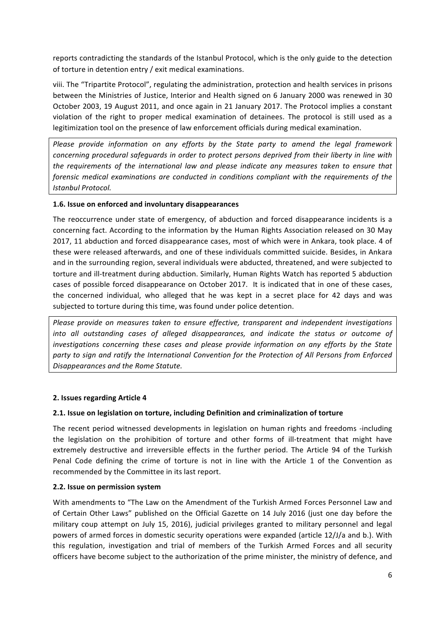reports contradicting the standards of the Istanbul Protocol, which is the only guide to the detection of torture in detention entry / exit medical examinations.

viii. The "Tripartite Protocol", regulating the administration, protection and health services in prisons between the Ministries of Justice, Interior and Health signed on 6 January 2000 was renewed in 30 October 2003, 19 August 2011, and once again in 21 January 2017. The Protocol implies a constant violation of the right to proper medical examination of detainees. The protocol is still used as a legitimization tool on the presence of law enforcement officials during medical examination.

*Please provide information on any efforts by the State party to amend the legal framework concerning* procedural safeguards in order to protect persons deprived from their liberty in line with *the requirements of the international law and please indicate any measures taken to ensure that forensic medical examinations are conducted in conditions compliant with the requirements of the* **Istanbul Protocol.** 

#### **1.6. Issue on enforced and involuntary disappearances**

The reoccurrence under state of emergency, of abduction and forced disappearance incidents is a concerning fact. According to the information by the Human Rights Association released on 30 May 2017, 11 abduction and forced disappearance cases, most of which were in Ankara, took place. 4 of these were released afterwards, and one of these individuals committed suicide. Besides, in Ankara and in the surrounding region, several individuals were abducted, threatened, and were subjected to torture and ill-treatment during abduction. Similarly, Human Rights Watch has reported 5 abduction cases of possible forced disappearance on October 2017. It is indicated that in one of these cases, the concerned individual, who alleged that he was kept in a secret place for 42 days and was subjected to torture during this time, was found under police detention.

*Please provide on measures taken to ensure effective, transparent and independent investigations into* all outstanding cases of alleged disappearances, and indicate the status or outcome of *investigations* concerning these cases and please provide information on any efforts by the State party to sign and ratify the International Convention for the Protection of All Persons from Enforced *Disappearances and the Rome Statute.*

#### **2. Issues regarding Article 4**

#### **2.1.** Issue on legislation on torture, including Definition and criminalization of torture

The recent period witnessed developments in legislation on human rights and freedoms -including the legislation on the prohibition of torture and other forms of ill-treatment that might have extremely destructive and irreversible effects in the further period. The Article 94 of the Turkish Penal Code defining the crime of torture is not in line with the Article 1 of the Convention as recommended by the Committee in its last report.

#### **2.2. Issue on permission system**

With amendments to "The Law on the Amendment of the Turkish Armed Forces Personnel Law and of Certain Other Laws" published on the Official Gazette on 14 July 2016 (just one day before the military coup attempt on July 15, 2016), judicial privileges granted to military personnel and legal powers of armed forces in domestic security operations were expanded (article 12/J/a and b.). With this regulation, investigation and trial of members of the Turkish Armed Forces and all security officers have become subject to the authorization of the prime minister, the ministry of defence, and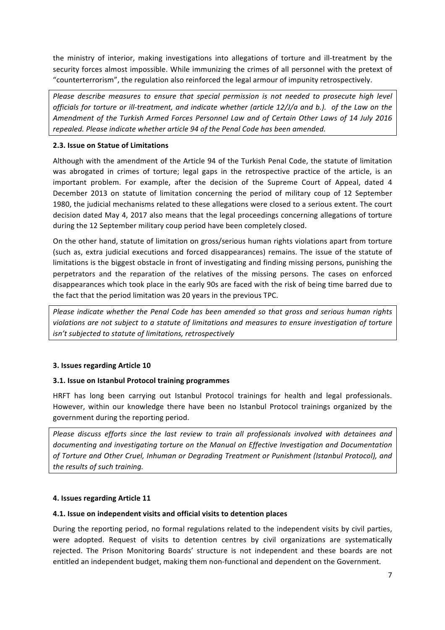the ministry of interior, making investigations into allegations of torture and ill-treatment by the security forces almost impossible. While immunizing the crimes of all personnel with the pretext of "counterterrorism", the regulation also reinforced the legal armour of impunity retrospectively.

*Please describe measures to ensure that special permission is not needed to prosecute high level officials for torture or ill-treatment, and indicate whether (article 12/J/a and b.). of the Law on the* Amendment of the Turkish Armed Forces Personnel Law and of Certain Other Laws of 14 July 2016 *repealed. Please indicate whether article 94 of the Penal Code has been amended.* 

## **2.3. Issue on Statue of Limitations**

Although with the amendment of the Article 94 of the Turkish Penal Code, the statute of limitation was abrogated in crimes of torture; legal gaps in the retrospective practice of the article, is an important problem. For example, after the decision of the Supreme Court of Appeal, dated 4 December 2013 on statute of limitation concerning the period of military coup of 12 September 1980, the judicial mechanisms related to these allegations were closed to a serious extent. The court decision dated May 4, 2017 also means that the legal proceedings concerning allegations of torture during the 12 September military coup period have been completely closed.

On the other hand, statute of limitation on gross/serious human rights violations apart from torture (such as, extra judicial executions and forced disappearances) remains. The issue of the statute of limitations is the biggest obstacle in front of investigating and finding missing persons, punishing the perpetrators and the reparation of the relatives of the missing persons. The cases on enforced disappearances which took place in the early 90s are faced with the risk of being time barred due to the fact that the period limitation was 20 years in the previous TPC.

*Please indicate whether the Penal Code has been amended so that gross and serious human rights violations are not subject to a statute of limitations and measures to ensure investigation of torture isn't subjected to statute of limitations, retrospectively* 

## **3. Issues regarding Article 10**

## **3.1.** Issue on Istanbul Protocol training programmes

HRFT has long been carrying out Istanbul Protocol trainings for health and legal professionals. However, within our knowledge there have been no Istanbul Protocol trainings organized by the government during the reporting period.

*Please discuss efforts since the last review to train all professionals involved with detainees and* documenting and investigating torture on the Manual on Effective Investigation and Documentation of Torture and Other Cruel, Inhuman or Degrading Treatment or Punishment (Istanbul Protocol), and *the results of such training.*

## **4. Issues regarding Article 11**

## **4.1.** Issue on independent visits and official visits to detention places

During the reporting period, no formal regulations related to the independent visits by civil parties, were adopted. Request of visits to detention centres by civil organizations are systematically rejected. The Prison Monitoring Boards' structure is not independent and these boards are not entitled an independent budget, making them non-functional and dependent on the Government.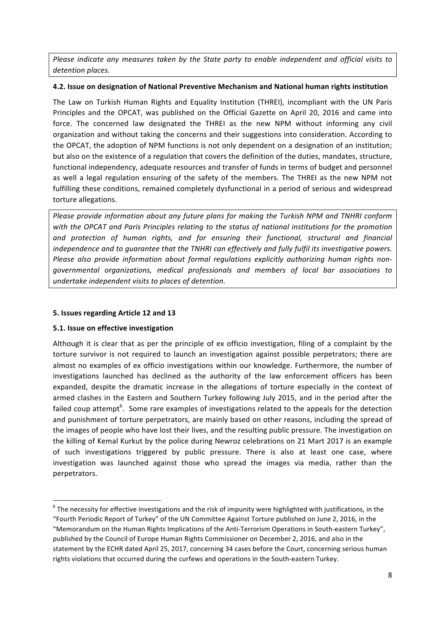*Please indicate any measures taken by the State party to enable independent and official visits to detention places.* 

## **4.2. Issue on designation of National Preventive Mechanism and National human rights institution**

The Law on Turkish Human Rights and Equality Institution (THREI), incompliant with the UN Paris Principles and the OPCAT, was published on the Official Gazette on April 20, 2016 and came into force. The concerned law designated the THREI as the new NPM without informing any civil organization and without taking the concerns and their suggestions into consideration. According to the OPCAT, the adoption of NPM functions is not only dependent on a designation of an institution; but also on the existence of a regulation that covers the definition of the duties, mandates, structure, functional independency, adequate resources and transfer of funds in terms of budget and personnel as well a legal regulation ensuring of the safety of the members. The THREI as the new NPM not fulfilling these conditions, remained completely dysfunctional in a period of serious and widespread torture allegations.

*Please provide information about any future plans for making the Turkish NPM and TNHRI conform* with the OPCAT and Paris Principles relating to the status of national institutions for the promotion *and protection of human rights, and for ensuring their functional, structural and financial independence* and to quarantee that the TNHRI can effectively and fully fulfil its investigative powers. *Please also provide information about formal regulations explicitly authorizing human rights nongovernmental organizations, medical professionals and members of local bar associations to undertake independent visits to places of detention.*

#### **5. Issues regarding Article 12 and 13**

## **5.1. Issue on effective investigation**

 

Although it is clear that as per the principle of ex officio investigation, filing of a complaint by the torture survivor is not required to launch an investigation against possible perpetrators; there are almost no examples of ex officio investigations within our knowledge. Furthermore, the number of investigations launched has declined as the authority of the law enforcement officers has been expanded, despite the dramatic increase in the allegations of torture especially in the context of armed clashes in the Eastern and Southern Turkey following July 2015, and in the period after the failed coup attempt<sup>6</sup>. Some rare examples of investigations related to the appeals for the detection and punishment of torture perpetrators, are mainly based on other reasons, including the spread of the images of people who have lost their lives, and the resulting public pressure. The investigation on the killing of Kemal Kurkut by the police during Newroz celebrations on 21 Mart 2017 is an example of such investigations triggered by public pressure. There is also at least one case, where investigation was launched against those who spread the images via media, rather than the perpetrators. 

 $6$  The necessity for effective investigations and the risk of impunity were highlighted with justifications, in the "Fourth Periodic Report of Turkey" of the UN Committee Against Torture published on June 2, 2016, in the "Memorandum on the Human Rights Implications of the Anti-Terrorism Operations in South-eastern Turkey", published by the Council of Europe Human Rights Commissioner on December 2, 2016, and also in the statement by the ECHR dated April 25, 2017, concerning 34 cases before the Court, concerning serious human rights violations that occurred during the curfews and operations in the South-eastern Turkey.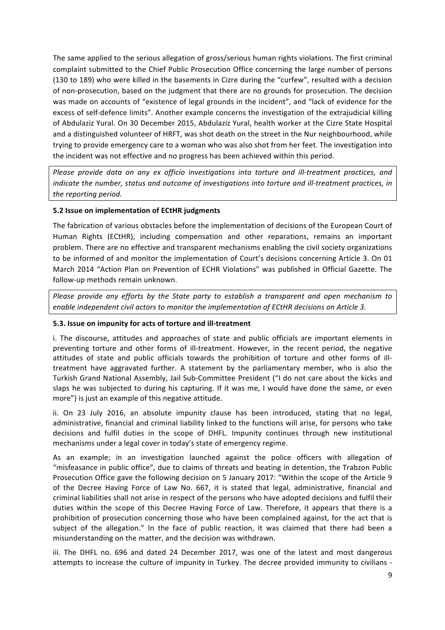The same applied to the serious allegation of gross/serious human rights violations. The first criminal complaint submitted to the Chief Public Prosecution Office concerning the large number of persons (130 to 189) who were killed in the basements in Cizre during the "curfew", resulted with a decision of non-prosecution, based on the judgment that there are no grounds for prosecution. The decision was made on accounts of "existence of legal grounds in the incident", and "lack of evidence for the excess of self-defence limits". Another example concerns the investigation of the extrajudicial killing of Abdulaziz Yural. On 30 December 2015, Abdulaziz Yural, health worker at the Cizre State Hospital and a distinguished volunteer of HRFT, was shot death on the street in the Nur neighbourhood, while trying to provide emergency care to a woman who was also shot from her feet. The investigation into the incident was not effective and no progress has been achieved within this period.

Please provide data on any ex officio investigations into torture and ill-treatment practices, and *indicate the number, status and outcome of investigations into torture and ill-treatment practices, in* the reporting period.

#### **5.2 Issue on implementation of ECtHR judgments**

The fabrication of various obstacles before the implementation of decisions of the European Court of Human Rights (ECtHR), including compensation and other reparations, remains an important problem. There are no effective and transparent mechanisms enabling the civil society organizations to be informed of and monitor the implementation of Court's decisions concerning Article 3. On 01 March 2014 "Action Plan on Prevention of ECHR Violations" was published in Official Gazette. The follow-up methods remain unknown.

*Please provide any efforts by the State party to establish a transparent and open mechanism to enable independent civil actors to monitor the implementation of ECtHR decisions on Article 3.* 

#### **5.3.** Issue on impunity for acts of torture and ill-treatment

i. The discourse, attitudes and approaches of state and public officials are important elements in preventing torture and other forms of ill-treatment. However, in the recent period, the negative attitudes of state and public officials towards the prohibition of torture and other forms of illtreatment have aggravated further. A statement by the parliamentary member, who is also the Turkish Grand National Assembly, Jail Sub-Committee President ("I do not care about the kicks and slaps he was subjected to during his capturing. If it was me, I would have done the same, or even more") is just an example of this negative attitude.

ii. On 23 July 2016, an absolute impunity clause has been introduced, stating that no legal, administrative, financial and criminal liability linked to the functions will arise, for persons who take decisions and fulfil duties in the scope of DHFL. Impunity continues through new institutional mechanisms under a legal cover in today's state of emergency regime.

As an example; in an investigation launched against the police officers with allegation of "misfeasance in public office", due to claims of threats and beating in detention, the Trabzon Public Prosecution Office gave the following decision on 5 January 2017: "Within the scope of the Article 9 of the Decree Having Force of Law No. 667, it is stated that legal, administrative, financial and criminal liabilities shall not arise in respect of the persons who have adopted decisions and fulfil their duties within the scope of this Decree Having Force of Law. Therefore, it appears that there is a prohibition of prosecution concerning those who have been complained against, for the act that is subject of the allegation." In the face of public reaction, it was claimed that there had been a misunderstanding on the matter, and the decision was withdrawn.

iii. The DHFL no. 696 and dated 24 December 2017, was one of the latest and most dangerous attempts to increase the culture of impunity in Turkey. The decree provided immunity to civilians -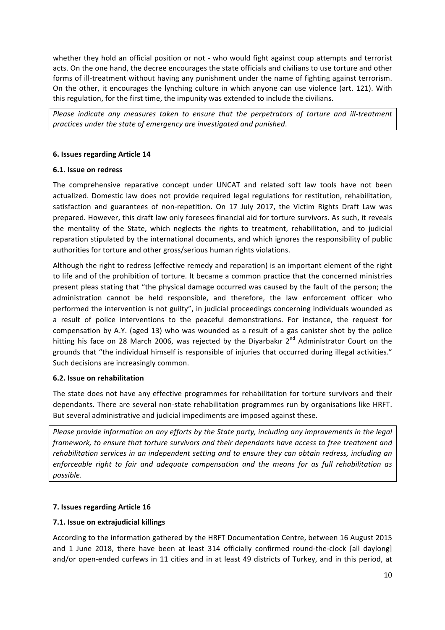whether they hold an official position or not - who would fight against coup attempts and terrorist acts. On the one hand, the decree encourages the state officials and civilians to use torture and other forms of ill-treatment without having any punishment under the name of fighting against terrorism. On the other, it encourages the lynching culture in which anyone can use violence (art. 121). With this regulation, for the first time, the impunity was extended to include the civilians.

*Please indicate any measures taken to ensure that the perpetrators of torture and ill-treatment practices under the state of emergency are investigated and punished*.

#### **6.** Issues regarding Article 14

#### **6.1. Issue on redress**

The comprehensive reparative concept under UNCAT and related soft law tools have not been actualized. Domestic law does not provide required legal regulations for restitution, rehabilitation, satisfaction and guarantees of non-repetition. On 17 July 2017, the Victim Rights Draft Law was prepared. However, this draft law only foresees financial aid for torture survivors. As such, it reveals the mentality of the State, which neglects the rights to treatment, rehabilitation, and to judicial reparation stipulated by the international documents, and which ignores the responsibility of public authorities for torture and other gross/serious human rights violations.

Although the right to redress (effective remedy and reparation) is an important element of the right to life and of the prohibition of torture. It became a common practice that the concerned ministries present pleas stating that "the physical damage occurred was caused by the fault of the person; the administration cannot be held responsible, and therefore, the law enforcement officer who performed the intervention is not guilty", in judicial proceedings concerning individuals wounded as a result of police interventions to the peaceful demonstrations. For instance, the request for compensation by A.Y. (aged 13) who was wounded as a result of a gas canister shot by the police hitting his face on 28 March 2006, was rejected by the Diyarbakır  $2^{nd}$  Administrator Court on the grounds that "the individual himself is responsible of injuries that occurred during illegal activities." Such decisions are increasingly common.

#### **6.2. Issue on rehabilitation**

The state does not have any effective programmes for rehabilitation for torture survivors and their dependants. There are several non-state rehabilitation programmes run by organisations like HRFT. But several administrative and judicial impediments are imposed against these.

*Please provide information on any efforts by the State party, including any improvements in the legal framework, to ensure that torture survivors and their dependants have access to free treatment and rehabilitation services in an independent setting and to ensure they can obtain redress, including an enforceable right to fair and adequate compensation and the means for as full rehabilitation as possible*.

## **7. Issues regarding Article 16**

#### **7.1. Issue on extrajudicial killings**

According to the information gathered by the HRFT Documentation Centre, between 16 August 2015 and 1 June 2018, there have been at least 314 officially confirmed round-the-clock [all daylong] and/or open-ended curfews in 11 cities and in at least 49 districts of Turkey, and in this period, at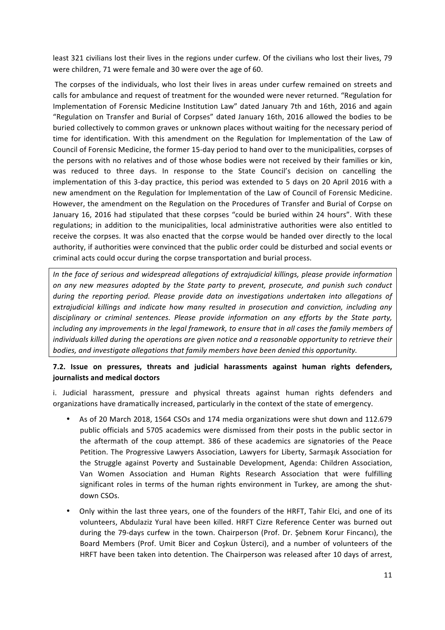least 321 civilians lost their lives in the regions under curfew. Of the civilians who lost their lives, 79 were children, 71 were female and 30 were over the age of 60.

The corpses of the individuals, who lost their lives in areas under curfew remained on streets and calls for ambulance and request of treatment for the wounded were never returned. "Regulation for Implementation of Forensic Medicine Institution Law" dated January 7th and 16th, 2016 and again "Regulation on Transfer and Burial of Corpses" dated January 16th, 2016 allowed the bodies to be buried collectively to common graves or unknown places without waiting for the necessary period of time for identification. With this amendment on the Regulation for Implementation of the Law of Council of Forensic Medicine, the former 15-day period to hand over to the municipalities, corpses of the persons with no relatives and of those whose bodies were not received by their families or kin, was reduced to three days. In response to the State Council's decision on cancelling the implementation of this 3-day practice, this period was extended to 5 days on 20 April 2016 with a new amendment on the Regulation for Implementation of the Law of Council of Forensic Medicine. However, the amendment on the Regulation on the Procedures of Transfer and Burial of Corpse on January 16, 2016 had stipulated that these corpses "could be buried within 24 hours". With these regulations; in addition to the municipalities, local administrative authorities were also entitled to receive the corpses. It was also enacted that the corpse would be handed over directly to the local authority, if authorities were convinced that the public order could be disturbed and social events or criminal acts could occur during the corpse transportation and burial process.

*In* the face of serious and widespread allegations of extrajudicial killings, please provide information *on* any new measures adopted by the State party to prevent, prosecute, and punish such conduct *during* the reporting period. Please provide data on investigations undertaken into allegations of extrajudicial killings and indicate how many resulted in prosecution and conviction, including any disciplinary or criminal sentences. Please provide information on any efforts by the State party, *including any improvements in the legal framework, to ensure that in all cases the family members of individuals killed during the operations are given notice and a reasonable opportunity to retrieve their bodies, and investigate allegations that family members have been denied this opportunity.* 

## **7.2.** Issue on pressures, threats and judicial harassments against human rights defenders, **journalists and medical doctors**

i. Judicial harassment, pressure and physical threats against human rights defenders and organizations have dramatically increased, particularly in the context of the state of emergency.

- As of 20 March 2018, 1564 CSOs and 174 media organizations were shut down and 112.679 public officials and 5705 academics were dismissed from their posts in the public sector in the aftermath of the coup attempt. 386 of these academics are signatories of the Peace Petition. The Progressive Lawyers Association, Lawyers for Liberty, Sarmaşık Association for the Struggle against Poverty and Sustainable Development, Agenda: Children Association, Van Women Association and Human Rights Research Association that were fulfilling significant roles in terms of the human rights environment in Turkey, are among the shutdown CSOs.
- Only within the last three years, one of the founders of the HRFT, Tahir Elci, and one of its volunteers, Abdulaziz Yural have been killed. HRFT Cizre Reference Center was burned out during the 79-days curfew in the town. Chairperson (Prof. Dr. Şebnem Korur Fincancı), the Board Members (Prof. Umit Bicer and Coşkun Üsterci), and a number of volunteers of the HRFT have been taken into detention. The Chairperson was released after 10 days of arrest,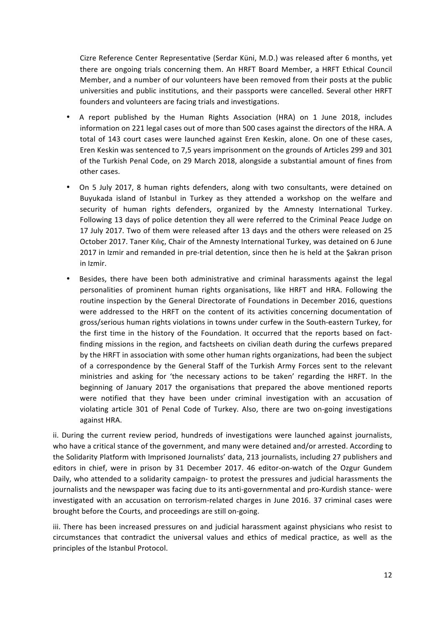Cizre Reference Center Representative (Serdar Küni, M.D.) was released after 6 months, yet there are ongoing trials concerning them. An HRFT Board Member, a HRFT Ethical Council Member, and a number of our volunteers have been removed from their posts at the public universities and public institutions, and their passports were cancelled. Several other HRFT founders and volunteers are facing trials and investigations.

- A report published by the Human Rights Association (HRA) on 1 June 2018, includes information on 221 legal cases out of more than 500 cases against the directors of the HRA. A total of 143 court cases were launched against Eren Keskin, alone. On one of these cases, Eren Keskin was sentenced to 7,5 years imprisonment on the grounds of Articles 299 and 301 of the Turkish Penal Code, on 29 March 2018, alongside a substantial amount of fines from other cases.
- On 5 July 2017, 8 human rights defenders, along with two consultants, were detained on Buyukada island of Istanbul in Turkey as they attended a workshop on the welfare and security of human rights defenders, organized by the Amnesty International Turkey. Following 13 days of police detention they all were referred to the Criminal Peace Judge on 17 July 2017. Two of them were released after 13 days and the others were released on 25 October 2017. Taner Kılıç, Chair of the Amnesty International Turkey, was detained on 6 June 2017 in Izmir and remanded in pre-trial detention, since then he is held at the Şakran prison in Izmir.
- Besides, there have been both administrative and criminal harassments against the legal personalities of prominent human rights organisations, like HRFT and HRA. Following the routine inspection by the General Directorate of Foundations in December 2016, questions were addressed to the HRFT on the content of its activities concerning documentation of gross/serious human rights violations in towns under curfew in the South-eastern Turkey, for the first time in the history of the Foundation. It occurred that the reports based on factfinding missions in the region, and factsheets on civilian death during the curfews prepared by the HRFT in association with some other human rights organizations, had been the subject of a correspondence by the General Staff of the Turkish Army Forces sent to the relevant ministries and asking for 'the necessary actions to be taken' regarding the HRFT. In the beginning of January 2017 the organisations that prepared the above mentioned reports were notified that they have been under criminal investigation with an accusation of violating article 301 of Penal Code of Turkey. Also, there are two on-going investigations against HRA.

ii. During the current review period, hundreds of investigations were launched against journalists, who have a critical stance of the government, and many were detained and/or arrested. According to the Solidarity Platform with Imprisoned Journalists' data, 213 journalists, including 27 publishers and editors in chief, were in prison by 31 December 2017. 46 editor-on-watch of the Ozgur Gundem Daily, who attended to a solidarity campaign- to protest the pressures and judicial harassments the journalists and the newspaper was facing due to its anti-governmental and pro-Kurdish stance- were investigated with an accusation on terrorism-related charges in June 2016. 37 criminal cases were brought before the Courts, and proceedings are still on-going.

iii. There has been increased pressures on and judicial harassment against physicians who resist to circumstances that contradict the universal values and ethics of medical practice, as well as the principles of the Istanbul Protocol.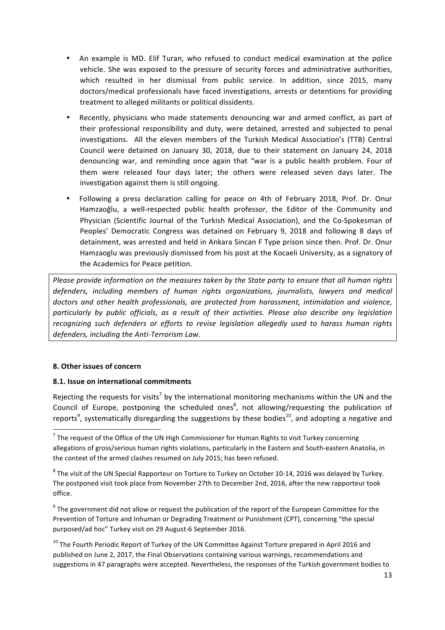- An example is MD. Elif Turan, who refused to conduct medical examination at the police vehicle. She was exposed to the pressure of security forces and administrative authorities, which resulted in her dismissal from public service. In addition, since 2015, many doctors/medical professionals have faced investigations, arrests or detentions for providing treatment to alleged militants or political dissidents.
- Recently, physicians who made statements denouncing war and armed conflict, as part of their professional responsibility and duty, were detained, arrested and subjected to penal investigations. All the eleven members of the Turkish Medical Association's (TTB) Central Council were detained on January 30, 2018, due to their statement on January 24, 2018 denouncing war, and reminding once again that "war is a public health problem. Four of them were released four days later; the others were released seven days later. The investigation against them is still ongoing.
- Following a press declaration calling for peace on 4th of February 2018, Prof. Dr. Onur Hamzaoğlu, a well-respected public health professor, the Editor of the Community and Physician (Scientific Journal of the Turkish Medical Association), and the Co-Spokesman of Peoples' Democratic Congress was detained on February 9, 2018 and following 8 days of detainment, was arrested and held in Ankara Sincan F Type prison since then. Prof. Dr. Onur Hamzaoglu was previously dismissed from his post at the Kocaeli University, as a signatory of the Academics for Peace petition.

*Please provide information on the measures taken by the State party to ensure that all human rights defenders, including members of human rights organizations, journalists, lawyers and medical* doctors and other health professionals, are protected from harassment, intimidation and violence, particularly by public officials, as a result of their activities. Please also describe any legislation recognizing such defenders or efforts to revise legislation allegedly used to harass human rights defenders, including the Anti-Terrorism Law.

#### **8. Other issues of concern**

<u> 1989 - Johann Stein, fransk politik (d. 1989)</u>

## **8.1. Issue on international commitments**

Rejecting the requests for visits<sup>7</sup> by the international monitoring mechanisms within the UN and the Council of Europe, postponing the scheduled ones<sup>8</sup>, not allowing/requesting the publication of reports<sup>9</sup>, systematically disregarding the suggestions by these bodies<sup>10</sup>, and adopting a negative and

 $9$  The government did not allow or request the publication of the report of the European Committee for the Prevention of Torture and Inhuman or Degrading Treatment or Punishment (CPT), concerning "the special purposed/ad hoc" Turkey visit on 29 August-6 September 2016.

 $10$  The Fourth Periodic Report of Turkey of the UN Committee Against Torture prepared in April 2016 and published on June 2, 2017, the Final Observations containing various warnings, recommendations and suggestions in 47 paragraphs were accepted. Nevertheless, the responses of the Turkish government bodies to

 $7$  The request of the Office of the UN High Commissioner for Human Rights to visit Turkey concerning allegations of gross/serious human rights violations, particularly in the Eastern and South-eastern Anatolia, in the context of the armed clashes resumed on July 2015; has been refused.

 $8$  The visit of the UN Special Rapporteur on Torture to Turkey on October 10-14, 2016 was delayed by Turkey. The postponed visit took place from November 27th to December 2nd, 2016, after the new rapporteur took office.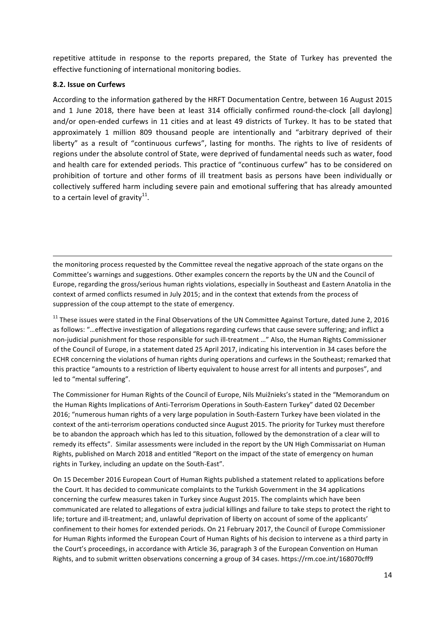repetitive attitude in response to the reports prepared, the State of Turkey has prevented the effective functioning of international monitoring bodies.

#### **8.2. Issue on Curfews**

According to the information gathered by the HRFT Documentation Centre, between 16 August 2015 and 1 June 2018, there have been at least 314 officially confirmed round-the-clock [all daylong] and/or open-ended curfews in 11 cities and at least 49 districts of Turkey. It has to be stated that approximately 1 million 809 thousand people are intentionally and "arbitrary deprived of their liberty" as a result of "continuous curfews", lasting for months. The rights to live of residents of regions under the absolute control of State, were deprived of fundamental needs such as water, food and health care for extended periods. This practice of "continuous curfew" has to be considered on prohibition of torture and other forms of ill treatment basis as persons have been individually or collectively suffered harm including severe pain and emotional suffering that has already amounted to a certain level of gravity<sup>11</sup>.

the monitoring process requested by the Committee reveal the negative approach of the state organs on the Committee's warnings and suggestions. Other examples concern the reports by the UN and the Council of Europe, regarding the gross/serious human rights violations, especially in Southeast and Eastern Anatolia in the context of armed conflicts resumed in July 2015; and in the context that extends from the process of suppression of the coup attempt to the state of emergency.

<u> 1989 - Andrea Santa Andrea Santa Andrea Andrea Santa Andrea Andrea Andrea Andrea Andrea Andrea Andrea Andrea </u>

 $11$  These issues were stated in the Final Observations of the UN Committee Against Torture, dated June 2, 2016 as follows: "...effective investigation of allegations regarding curfews that cause severe suffering; and inflict a non-judicial punishment for those responsible for such ill-treatment ..." Also, the Human Rights Commissioner of the Council of Europe, in a statement dated 25 April 2017, indicating his intervention in 34 cases before the ECHR concerning the violations of human rights during operations and curfews in the Southeast; remarked that this practice "amounts to a restriction of liberty equivalent to house arrest for all intents and purposes", and led to "mental suffering".

The Commissioner for Human Rights of the Council of Europe, Nils Muižnieks's stated in the "Memorandum on the Human Rights Implications of Anti-Terrorism Operations in South-Eastern Turkey" dated 02 December 2016; "numerous human rights of a very large population in South-Eastern Turkey have been violated in the context of the anti-terrorism operations conducted since August 2015. The priority for Turkey must therefore be to abandon the approach which has led to this situation, followed by the demonstration of a clear will to remedy its effects". Similar assessments were included in the report by the UN High Commissariat on Human Rights, published on March 2018 and entitled "Report on the impact of the state of emergency on human rights in Turkey, including an update on the South-East".

On 15 December 2016 European Court of Human Rights published a statement related to applications before the Court. It has decided to communicate complaints to the Turkish Government in the 34 applications concerning the curfew measures taken in Turkey since August 2015. The complaints which have been communicated are related to allegations of extra judicial killings and failure to take steps to protect the right to life; torture and ill-treatment; and, unlawful deprivation of liberty on account of some of the applicants' confinement to their homes for extended periods. On 21 February 2017, the Council of Europe Commissioner for Human Rights informed the European Court of Human Rights of his decision to intervene as a third party in the Court's proceedings, in accordance with Article 36, paragraph 3 of the European Convention on Human Rights, and to submit written observations concerning a group of 34 cases. https://rm.coe.int/168070cff9